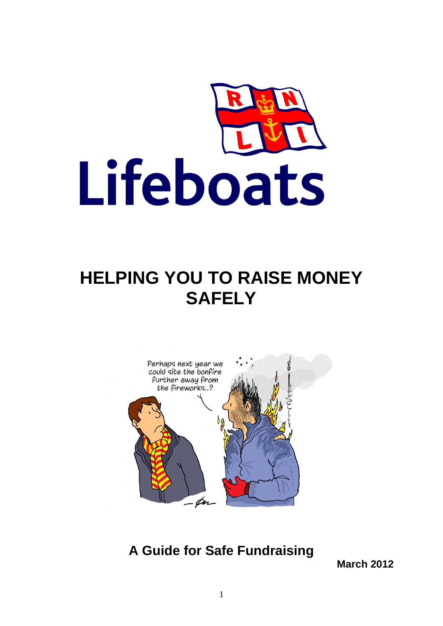

# **HELPING YOU TO RAISE MONEY SAFELY**



**A Guide for Safe Fundraising**

**March 2012**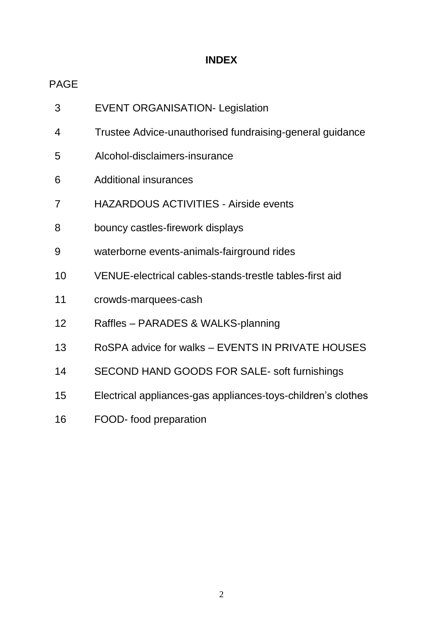# **INDEX**

# PAGE

| 3              | <b>EVENT ORGANISATION- Legislation</b>                       |
|----------------|--------------------------------------------------------------|
| 4              | Trustee Advice-unauthorised fundraising-general guidance     |
| 5              | Alcohol-disclaimers-insurance                                |
| 6              | <b>Additional insurances</b>                                 |
| $\overline{7}$ | <b>HAZARDOUS ACTIVITIES - Airside events</b>                 |
| 8              | bouncy castles-firework displays                             |
| 9              | waterborne events-animals-fairground rides                   |
| 10             | VENUE-electrical cables-stands-trestle tables-first aid      |
| 11             | crowds-marquees-cash                                         |
| 12             | Raffles - PARADES & WALKS-planning                           |
| 13             | RoSPA advice for walks - EVENTS IN PRIVATE HOUSES            |
| 14             | SECOND HAND GOODS FOR SALE- soft furnishings                 |
| 15             | Electrical appliances-gas appliances-toys-children's clothes |
| 16             | FOOD- food preparation                                       |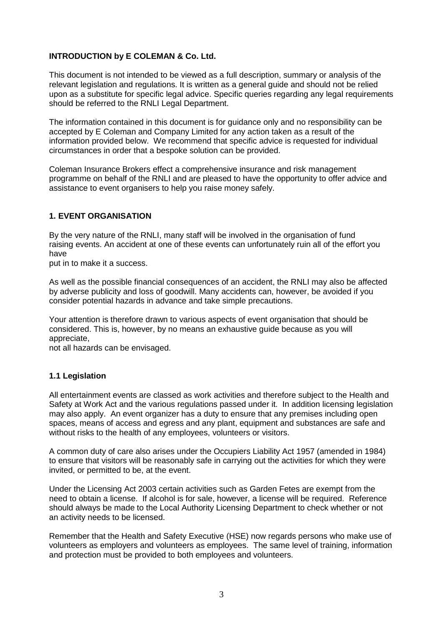#### **INTRODUCTION by E COLEMAN & Co. Ltd.**

This document is not intended to be viewed as a full description, summary or analysis of the relevant legislation and regulations. It is written as a general guide and should not be relied upon as a substitute for specific legal advice. Specific queries regarding any legal requirements should be referred to the RNLI Legal Department.

The information contained in this document is for guidance only and no responsibility can be accepted by E Coleman and Company Limited for any action taken as a result of the information provided below. We recommend that specific advice is requested for individual circumstances in order that a bespoke solution can be provided.

Coleman Insurance Brokers effect a comprehensive insurance and risk management programme on behalf of the RNLI and are pleased to have the opportunity to offer advice and assistance to event organisers to help you raise money safely.

#### **1. EVENT ORGANISATION**

By the very nature of the RNLI, many staff will be involved in the organisation of fund raising events. An accident at one of these events can unfortunately ruin all of the effort you have

put in to make it a success.

As well as the possible financial consequences of an accident, the RNLI may also be affected by adverse publicity and loss of goodwill. Many accidents can, however, be avoided if you consider potential hazards in advance and take simple precautions.

Your attention is therefore drawn to various aspects of event organisation that should be considered. This is, however, by no means an exhaustive guide because as you will appreciate,

not all hazards can be envisaged.

#### **1.1 Legislation**

All entertainment events are classed as work activities and therefore subject to the Health and Safety at Work Act and the various regulations passed under it. In addition licensing legislation may also apply. An event organizer has a duty to ensure that any premises including open spaces, means of access and egress and any plant, equipment and substances are safe and without risks to the health of any employees, volunteers or visitors.

A common duty of care also arises under the Occupiers Liability Act 1957 (amended in 1984) to ensure that visitors will be reasonably safe in carrying out the activities for which they were invited, or permitted to be, at the event.

Under the Licensing Act 2003 certain activities such as Garden Fetes are exempt from the need to obtain a license. If alcohol is for sale, however, a license will be required. Reference should always be made to the Local Authority Licensing Department to check whether or not an activity needs to be licensed.

Remember that the Health and Safety Executive (HSE) now regards persons who make use of volunteers as employers and volunteers as employees. The same level of training, information and protection must be provided to both employees and volunteers.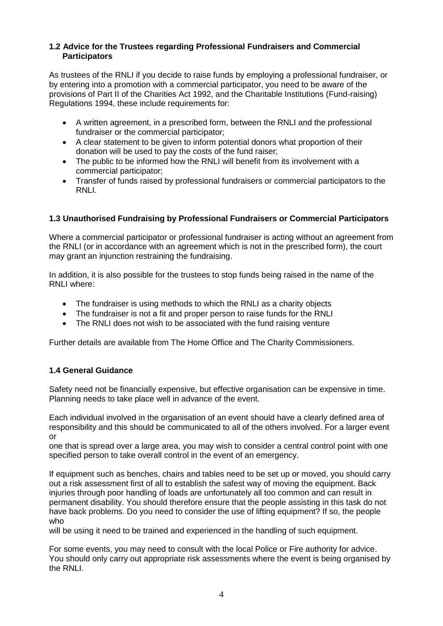#### **1.2 Advice for the Trustees regarding Professional Fundraisers and Commercial Participators**

As trustees of the RNLI if you decide to raise funds by employing a professional fundraiser, or by entering into a promotion with a commercial participator, you need to be aware of the provisions of Part II of the Charities Act 1992, and the Charitable Institutions (Fund-raising) Regulations 1994, these include requirements for:

- A written agreement, in a prescribed form, between the RNLI and the professional fundraiser or the commercial participator;
- A clear statement to be given to inform potential donors what proportion of their donation will be used to pay the costs of the fund raiser;
- The public to be informed how the RNLI will benefit from its involvement with a commercial participator;
- Transfer of funds raised by professional fundraisers or commercial participators to the RNLI.

#### **1.3 Unauthorised Fundraising by Professional Fundraisers or Commercial Participators**

Where a commercial participator or professional fundraiser is acting without an agreement from the RNLI (or in accordance with an agreement which is not in the prescribed form), the court may grant an injunction restraining the fundraising.

In addition, it is also possible for the trustees to stop funds being raised in the name of the RNI I where:

- The fundraiser is using methods to which the RNLI as a charity objects
- The fundraiser is not a fit and proper person to raise funds for the RNLI
- The RNLI does not wish to be associated with the fund raising venture

Further details are available from The Home Office and The Charity Commissioners.

#### **1.4 General Guidance**

Safety need not be financially expensive, but effective organisation can be expensive in time. Planning needs to take place well in advance of the event.

Each individual involved in the organisation of an event should have a clearly defined area of responsibility and this should be communicated to all of the others involved. For a larger event or

one that is spread over a large area, you may wish to consider a central control point with one specified person to take overall control in the event of an emergency.

If equipment such as benches, chairs and tables need to be set up or moved, you should carry out a risk assessment first of all to establish the safest way of moving the equipment. Back injuries through poor handling of loads are unfortunately all too common and can result in permanent disability. You should therefore ensure that the people assisting in this task do not have back problems. Do you need to consider the use of lifting equipment? If so, the people who

will be using it need to be trained and experienced in the handling of such equipment.

For some events, you may need to consult with the local Police or Fire authority for advice. You should only carry out appropriate risk assessments where the event is being organised by the RNLI.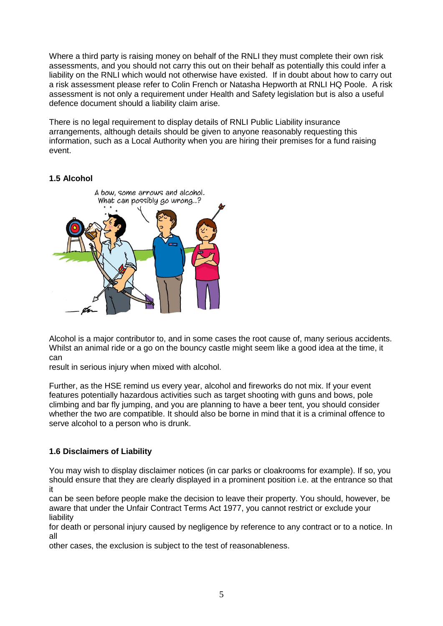Where a third party is raising money on behalf of the RNLI they must complete their own risk assessments, and you should not carry this out on their behalf as potentially this could infer a liability on the RNLI which would not otherwise have existed. If in doubt about how to carry out a risk assessment please refer to Colin French or Natasha Hepworth at RNLI HQ Poole. A risk assessment is not only a requirement under Health and Safety legislation but is also a useful defence document should a liability claim arise.

There is no legal requirement to display details of RNLI Public Liability insurance arrangements, although details should be given to anyone reasonably requesting this information, such as a Local Authority when you are hiring their premises for a fund raising event.

# **1.5 Alcohol**



Alcohol is a major contributor to, and in some cases the root cause of, many serious accidents. Whilst an animal ride or a go on the bouncy castle might seem like a good idea at the time, it can

result in serious injury when mixed with alcohol.

Further, as the HSE remind us every year, alcohol and fireworks do not mix. If your event features potentially hazardous activities such as target shooting with guns and bows, pole climbing and bar fly jumping, and you are planning to have a beer tent, you should consider whether the two are compatible. It should also be borne in mind that it is a criminal offence to serve alcohol to a person who is drunk.

# **1.6 Disclaimers of Liability**

You may wish to display disclaimer notices (in car parks or cloakrooms for example). If so, you should ensure that they are clearly displayed in a prominent position i.e. at the entrance so that it

can be seen before people make the decision to leave their property. You should, however, be aware that under the Unfair Contract Terms Act 1977, you cannot restrict or exclude your liability

for death or personal injury caused by negligence by reference to any contract or to a notice. In all

other cases, the exclusion is subject to the test of reasonableness.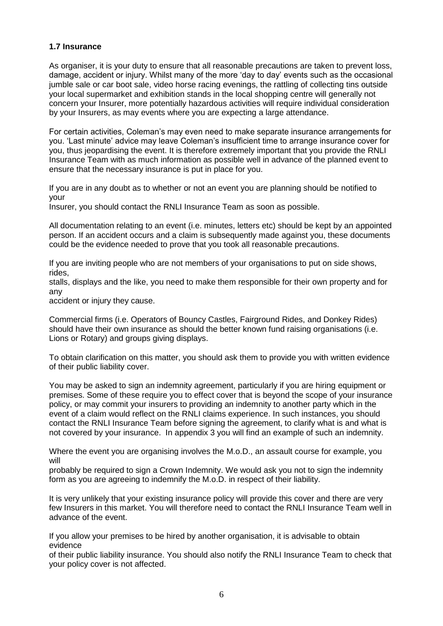#### **1.7 Insurance**

As organiser, it is your duty to ensure that all reasonable precautions are taken to prevent loss, damage, accident or injury. Whilst many of the more 'day to day' events such as the occasional jumble sale or car boot sale, video horse racing evenings, the rattling of collecting tins outside your local supermarket and exhibition stands in the local shopping centre will generally not concern your Insurer, more potentially hazardous activities will require individual consideration by your Insurers, as may events where you are expecting a large attendance.

For certain activities, Coleman's may even need to make separate insurance arrangements for you. 'Last minute' advice may leave Coleman's insufficient time to arrange insurance cover for you, thus jeopardising the event. It is therefore extremely important that you provide the RNLI Insurance Team with as much information as possible well in advance of the planned event to ensure that the necessary insurance is put in place for you.

If you are in any doubt as to whether or not an event you are planning should be notified to your

Insurer, you should contact the RNLI Insurance Team as soon as possible.

All documentation relating to an event (i.e. minutes, letters etc) should be kept by an appointed person. If an accident occurs and a claim is subsequently made against you, these documents could be the evidence needed to prove that you took all reasonable precautions.

If you are inviting people who are not members of your organisations to put on side shows, rides,

stalls, displays and the like, you need to make them responsible for their own property and for any

accident or injury they cause.

Commercial firms (i.e. Operators of Bouncy Castles, Fairground Rides, and Donkey Rides) should have their own insurance as should the better known fund raising organisations (i.e. Lions or Rotary) and groups giving displays.

To obtain clarification on this matter, you should ask them to provide you with written evidence of their public liability cover.

You may be asked to sign an indemnity agreement, particularly if you are hiring equipment or premises. Some of these require you to effect cover that is beyond the scope of your insurance policy, or may commit your insurers to providing an indemnity to another party which in the event of a claim would reflect on the RNLI claims experience. In such instances, you should contact the RNLI Insurance Team before signing the agreement, to clarify what is and what is not covered by your insurance. In appendix 3 you will find an example of such an indemnity.

Where the event you are organising involves the M.o.D., an assault course for example, you will

probably be required to sign a Crown Indemnity. We would ask you not to sign the indemnity form as you are agreeing to indemnify the M.o.D. in respect of their liability.

It is very unlikely that your existing insurance policy will provide this cover and there are very few Insurers in this market. You will therefore need to contact the RNLI Insurance Team well in advance of the event.

If you allow your premises to be hired by another organisation, it is advisable to obtain evidence

of their public liability insurance. You should also notify the RNLI Insurance Team to check that your policy cover is not affected.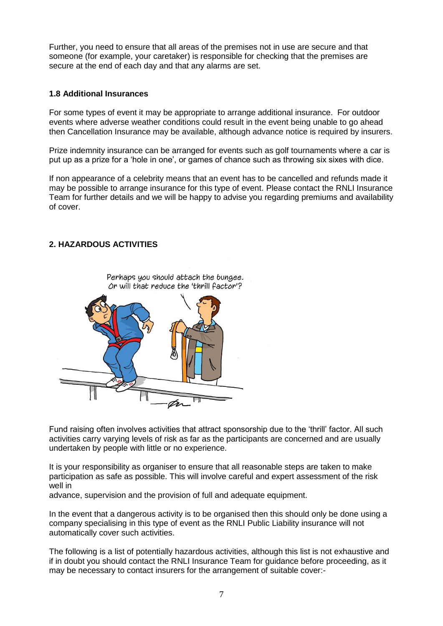Further, you need to ensure that all areas of the premises not in use are secure and that someone (for example, your caretaker) is responsible for checking that the premises are secure at the end of each day and that any alarms are set.

#### **1.8 Additional Insurances**

For some types of event it may be appropriate to arrange additional insurance. For outdoor events where adverse weather conditions could result in the event being unable to go ahead then Cancellation Insurance may be available, although advance notice is required by insurers.

Prize indemnity insurance can be arranged for events such as golf tournaments where a car is put up as a prize for a 'hole in one', or games of chance such as throwing six sixes with dice.

If non appearance of a celebrity means that an event has to be cancelled and refunds made it may be possible to arrange insurance for this type of event. Please contact the RNLI Insurance Team for further details and we will be happy to advise you regarding premiums and availability of cover.

# **2. HAZARDOUS ACTIVITIES**



Fund raising often involves activities that attract sponsorship due to the 'thrill' factor. All such activities carry varying levels of risk as far as the participants are concerned and are usually undertaken by people with little or no experience.

It is your responsibility as organiser to ensure that all reasonable steps are taken to make participation as safe as possible. This will involve careful and expert assessment of the risk well in

advance, supervision and the provision of full and adequate equipment.

In the event that a dangerous activity is to be organised then this should only be done using a company specialising in this type of event as the RNLI Public Liability insurance will not automatically cover such activities.

The following is a list of potentially hazardous activities, although this list is not exhaustive and if in doubt you should contact the RNLI Insurance Team for guidance before proceeding, as it may be necessary to contact insurers for the arrangement of suitable cover:-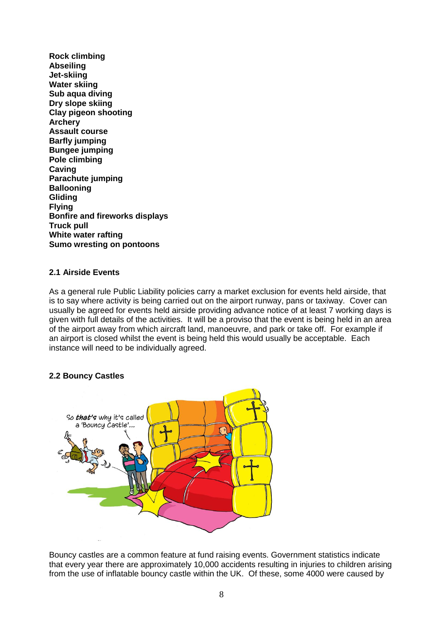**Rock climbing Abseiling Jet-skiing Water skiing Sub aqua diving Dry slope skiing Clay pigeon shooting Archery Assault course Barfly jumping Bungee jumping Pole climbing Caving Parachute jumping Ballooning Gliding Flying Bonfire and fireworks displays Truck pull White water rafting Sumo wresting on pontoons**

#### **2.1 Airside Events**

As a general rule Public Liability policies carry a market exclusion for events held airside, that is to say where activity is being carried out on the airport runway, pans or taxiway. Cover can usually be agreed for events held airside providing advance notice of at least 7 working days is given with full details of the activities. It will be a proviso that the event is being held in an area of the airport away from which aircraft land, manoeuvre, and park or take off. For example if an airport is closed whilst the event is being held this would usually be acceptable. Each instance will need to be individually agreed.

#### **2.2 Bouncy Castles**



Bouncy castles are a common feature at fund raising events. Government statistics indicate that every year there are approximately 10,000 accidents resulting in injuries to children arising from the use of inflatable bouncy castle within the UK. Of these, some 4000 were caused by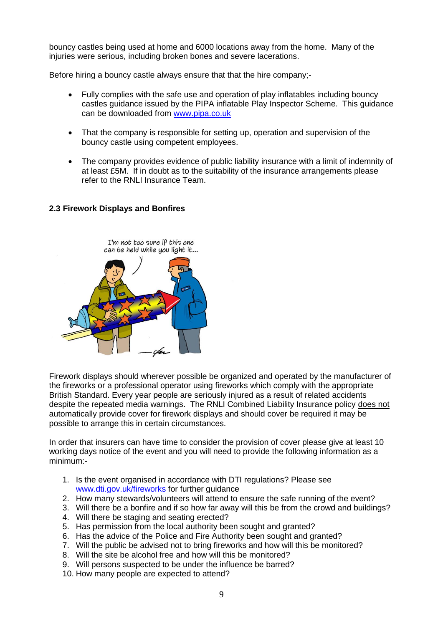bouncy castles being used at home and 6000 locations away from the home. Many of the injuries were serious, including broken bones and severe lacerations.

Before hiring a bouncy castle always ensure that that the hire company;-

- Fully complies with the safe use and operation of play inflatables including bouncy castles guidance issued by the PIPA inflatable Play Inspector Scheme. This guidance can be downloaded from [www.pipa.co.uk](http://www.pipa.co.uk/)
- That the company is responsible for setting up, operation and supervision of the bouncy castle using competent employees.
- The company provides evidence of public liability insurance with a limit of indemnity of at least £5M. If in doubt as to the suitability of the insurance arrangements please refer to the RNLI Insurance Team.

#### **2.3 Firework Displays and Bonfires**



Firework displays should wherever possible be organized and operated by the manufacturer of the fireworks or a professional operator using fireworks which comply with the appropriate British Standard. Every year people are seriously injured as a result of related accidents despite the repeated media warnings. The RNLI Combined Liability Insurance policy does not automatically provide cover for firework displays and should cover be required it may be possible to arrange this in certain circumstances.

In order that insurers can have time to consider the provision of cover please give at least 10 working days notice of the event and you will need to provide the following information as a minimum:-

- 1. Is the event organised in accordance with DTI regulations? Please see [www.dti.gov.uk/fireworks](http://www.dti.gov.uk/fireworks) for further guidance
- 2. How many stewards/volunteers will attend to ensure the safe running of the event?
- 3. Will there be a bonfire and if so how far away will this be from the crowd and buildings?
- 4. Will there be staging and seating erected?
- 5. Has permission from the local authority been sought and granted?
- 6. Has the advice of the Police and Fire Authority been sought and granted?
- 7. Will the public be advised not to bring fireworks and how will this be monitored?
- 8. Will the site be alcohol free and how will this be monitored?
- 9. Will persons suspected to be under the influence be barred?
- 10. How many people are expected to attend?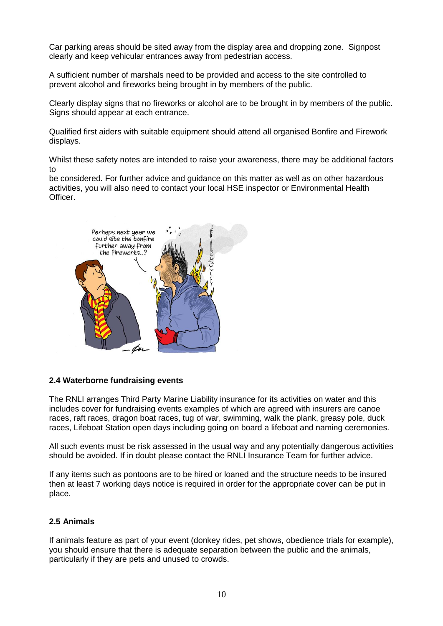Car parking areas should be sited away from the display area and dropping zone. Signpost clearly and keep vehicular entrances away from pedestrian access.

A sufficient number of marshals need to be provided and access to the site controlled to prevent alcohol and fireworks being brought in by members of the public.

Clearly display signs that no fireworks or alcohol are to be brought in by members of the public. Signs should appear at each entrance.

Qualified first aiders with suitable equipment should attend all organised Bonfire and Firework displays.

Whilst these safety notes are intended to raise your awareness, there may be additional factors to

be considered. For further advice and guidance on this matter as well as on other hazardous activities, you will also need to contact your local HSE inspector or Environmental Health Officer.



#### **2.4 Waterborne fundraising events**

The RNLI arranges Third Party Marine Liability insurance for its activities on water and this includes cover for fundraising events examples of which are agreed with insurers are canoe races, raft races, dragon boat races, tug of war, swimming, walk the plank, greasy pole, duck races, Lifeboat Station open days including going on board a lifeboat and naming ceremonies.

All such events must be risk assessed in the usual way and any potentially dangerous activities should be avoided. If in doubt please contact the RNLI Insurance Team for further advice.

If any items such as pontoons are to be hired or loaned and the structure needs to be insured then at least 7 working days notice is required in order for the appropriate cover can be put in place.

# **2.5 Animals**

If animals feature as part of your event (donkey rides, pet shows, obedience trials for example), you should ensure that there is adequate separation between the public and the animals, particularly if they are pets and unused to crowds.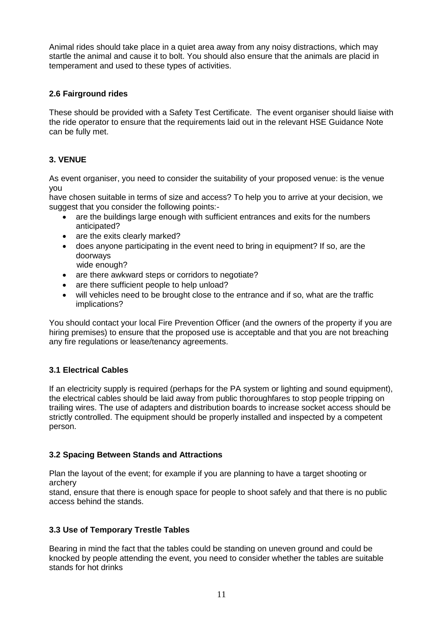Animal rides should take place in a quiet area away from any noisy distractions, which may startle the animal and cause it to bolt. You should also ensure that the animals are placid in temperament and used to these types of activities.

# **2.6 Fairground rides**

These should be provided with a Safety Test Certificate. The event organiser should liaise with the ride operator to ensure that the requirements laid out in the relevant HSE Guidance Note can be fully met.

# **3. VENUE**

As event organiser, you need to consider the suitability of your proposed venue: is the venue you

have chosen suitable in terms of size and access? To help you to arrive at your decision, we suggest that you consider the following points:-

- are the buildings large enough with sufficient entrances and exits for the numbers anticipated?
- are the exits clearly marked?
- does anyone participating in the event need to bring in equipment? If so, are the doorways
	- wide enough?
- are there awkward steps or corridors to negotiate?
- are there sufficient people to help unload?
- will vehicles need to be brought close to the entrance and if so, what are the traffic implications?

You should contact your local Fire Prevention Officer (and the owners of the property if you are hiring premises) to ensure that the proposed use is acceptable and that you are not breaching any fire regulations or lease/tenancy agreements.

# **3.1 Electrical Cables**

If an electricity supply is required (perhaps for the PA system or lighting and sound equipment), the electrical cables should be laid away from public thoroughfares to stop people tripping on trailing wires. The use of adapters and distribution boards to increase socket access should be strictly controlled. The equipment should be properly installed and inspected by a competent person.

# **3.2 Spacing Between Stands and Attractions**

Plan the layout of the event; for example if you are planning to have a target shooting or archery

stand, ensure that there is enough space for people to shoot safely and that there is no public access behind the stands.

# **3.3 Use of Temporary Trestle Tables**

Bearing in mind the fact that the tables could be standing on uneven ground and could be knocked by people attending the event, you need to consider whether the tables are suitable stands for hot drinks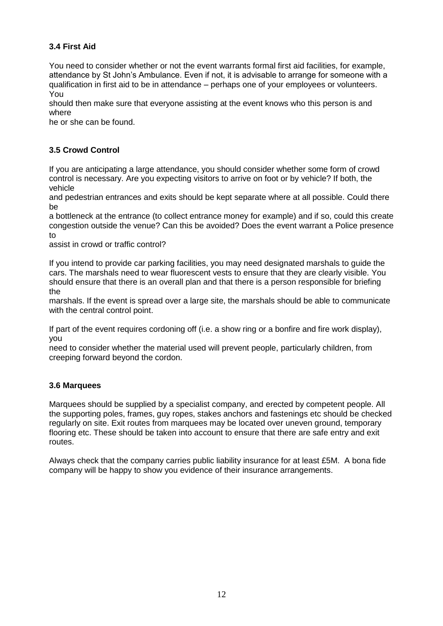# **3.4 First Aid**

You need to consider whether or not the event warrants formal first aid facilities, for example, attendance by St John's Ambulance. Even if not, it is advisable to arrange for someone with a qualification in first aid to be in attendance – perhaps one of your employees or volunteers. You

should then make sure that everyone assisting at the event knows who this person is and where

he or she can be found.

# **3.5 Crowd Control**

If you are anticipating a large attendance, you should consider whether some form of crowd control is necessary. Are you expecting visitors to arrive on foot or by vehicle? If both, the vehicle

and pedestrian entrances and exits should be kept separate where at all possible. Could there be

a bottleneck at the entrance (to collect entrance money for example) and if so, could this create congestion outside the venue? Can this be avoided? Does the event warrant a Police presence to

assist in crowd or traffic control?

If you intend to provide car parking facilities, you may need designated marshals to guide the cars. The marshals need to wear fluorescent vests to ensure that they are clearly visible. You should ensure that there is an overall plan and that there is a person responsible for briefing the

marshals. If the event is spread over a large site, the marshals should be able to communicate with the central control point.

If part of the event requires cordoning off (i.e. a show ring or a bonfire and fire work display), you

need to consider whether the material used will prevent people, particularly children, from creeping forward beyond the cordon.

# **3.6 Marquees**

Marquees should be supplied by a specialist company, and erected by competent people. All the supporting poles, frames, guy ropes, stakes anchors and fastenings etc should be checked regularly on site. Exit routes from marquees may be located over uneven ground, temporary flooring etc. These should be taken into account to ensure that there are safe entry and exit routes.

Always check that the company carries public liability insurance for at least £5M. A bona fide company will be happy to show you evidence of their insurance arrangements.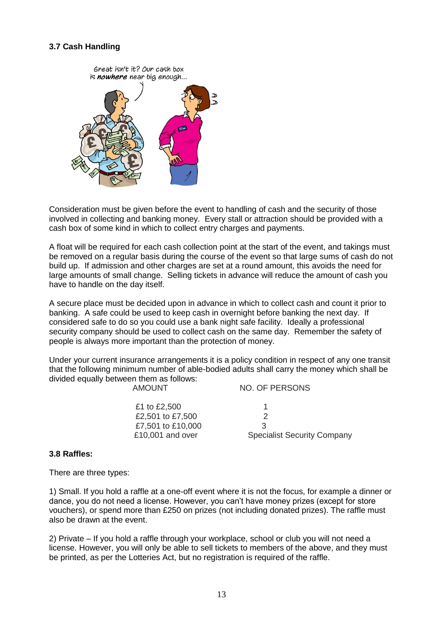#### **3.7 Cash Handling**



Consideration must be given before the event to handling of cash and the security of those involved in collecting and banking money. Every stall or attraction should be provided with a cash box of some kind in which to collect entry charges and payments.

A float will be required for each cash collection point at the start of the event, and takings must be removed on a regular basis during the course of the event so that large sums of cash do not build up. If admission and other charges are set at a round amount, this avoids the need for large amounts of small change. Selling tickets in advance will reduce the amount of cash you have to handle on the day itself.

A secure place must be decided upon in advance in which to collect cash and count it prior to banking. A safe could be used to keep cash in overnight before banking the next day. If considered safe to do so you could use a bank night safe facility. Ideally a professional security company should be used to collect cash on the same day. Remember the safety of people is always more important than the protection of money.

Under your current insurance arrangements it is a policy condition in respect of any one transit that the following minimum number of able-bodied adults shall carry the money which shall be divided equally between them as follows: NO. OF PERSONS

|                   | 110. UI 1 LIVUUTU                  |
|-------------------|------------------------------------|
| £1 to £2,500      |                                    |
| £2,501 to £7,500  |                                    |
| £7,501 to £10,000 | -2                                 |
| £10,001 and over  | <b>Specialist Security Company</b> |
|                   |                                    |

#### **3.8 Raffles:**

There are three types:

1) Small. If you hold a raffle at a one-off event where it is not the focus, for example a dinner or dance, you do not need a license. However, you can't have money prizes (except for store vouchers), or spend more than £250 on prizes (not including donated prizes). The raffle must also be drawn at the event.

2) Private – If you hold a raffle through your workplace, school or club you will not need a license. However, you will only be able to sell tickets to members of the above, and they must be printed, as per the Lotteries Act, but no registration is required of the raffle.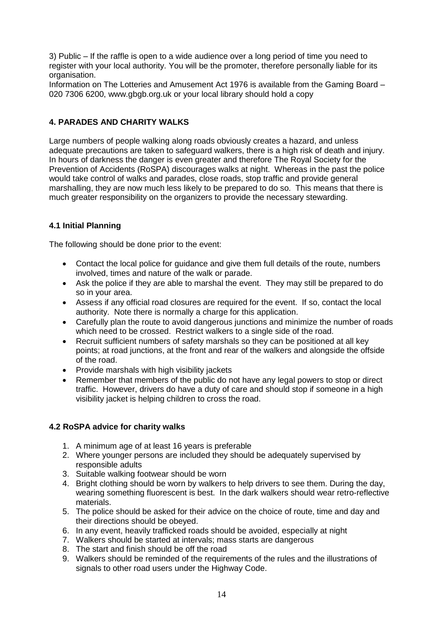3) Public – If the raffle is open to a wide audience over a long period of time you need to register with your local authority. You will be the promoter, therefore personally liable for its organisation.

Information on The Lotteries and Amusement Act 1976 is available from the Gaming Board – 020 7306 6200, www.gbgb.org.uk or your local library should hold a copy

#### **4. PARADES AND CHARITY WALKS**

Large numbers of people walking along roads obviously creates a hazard, and unless adequate precautions are taken to safeguard walkers, there is a high risk of death and injury. In hours of darkness the danger is even greater and therefore The Royal Society for the Prevention of Accidents (RoSPA) discourages walks at night. Whereas in the past the police would take control of walks and parades, close roads, stop traffic and provide general marshalling, they are now much less likely to be prepared to do so. This means that there is much greater responsibility on the organizers to provide the necessary stewarding.

# **4.1 Initial Planning**

The following should be done prior to the event:

- Contact the local police for guidance and give them full details of the route, numbers involved, times and nature of the walk or parade.
- Ask the police if they are able to marshal the event. They may still be prepared to do so in your area.
- Assess if any official road closures are required for the event. If so, contact the local authority. Note there is normally a charge for this application.
- Carefully plan the route to avoid dangerous junctions and minimize the number of roads which need to be crossed. Restrict walkers to a single side of the road.
- Recruit sufficient numbers of safety marshals so they can be positioned at all key points; at road junctions, at the front and rear of the walkers and alongside the offside of the road.
- Provide marshals with high visibility jackets
- Remember that members of the public do not have any legal powers to stop or direct traffic. However, drivers do have a duty of care and should stop if someone in a high visibility jacket is helping children to cross the road.

#### **4.2 RoSPA advice for charity walks**

- 1. A minimum age of at least 16 years is preferable
- 2. Where younger persons are included they should be adequately supervised by responsible adults
- 3. Suitable walking footwear should be worn
- 4. Bright clothing should be worn by walkers to help drivers to see them. During the day, wearing something fluorescent is best. In the dark walkers should wear retro-reflective materials.
- 5. The police should be asked for their advice on the choice of route, time and day and their directions should be obeyed.
- 6. In any event, heavily trafficked roads should be avoided, especially at night
- 7. Walkers should be started at intervals; mass starts are dangerous
- 8. The start and finish should be off the road
- 9. Walkers should be reminded of the requirements of the rules and the illustrations of signals to other road users under the Highway Code.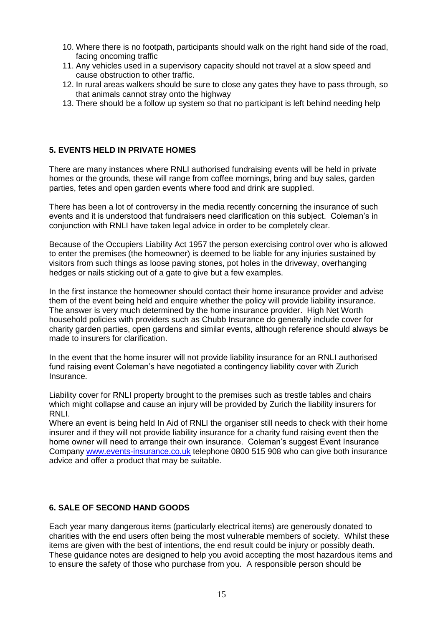- 10. Where there is no footpath, participants should walk on the right hand side of the road, facing oncoming traffic
- 11. Any vehicles used in a supervisory capacity should not travel at a slow speed and cause obstruction to other traffic.
- 12. In rural areas walkers should be sure to close any gates they have to pass through, so that animals cannot stray onto the highway
- 13. There should be a follow up system so that no participant is left behind needing help

# **5. EVENTS HELD IN PRIVATE HOMES**

There are many instances where RNLI authorised fundraising events will be held in private homes or the grounds, these will range from coffee mornings, bring and buy sales, garden parties, fetes and open garden events where food and drink are supplied.

There has been a lot of controversy in the media recently concerning the insurance of such events and it is understood that fundraisers need clarification on this subject. Coleman's in conjunction with RNLI have taken legal advice in order to be completely clear.

Because of the Occupiers Liability Act 1957 the person exercising control over who is allowed to enter the premises (the homeowner) is deemed to be liable for any injuries sustained by visitors from such things as loose paving stones, pot holes in the driveway, overhanging hedges or nails sticking out of a gate to give but a few examples.

In the first instance the homeowner should contact their home insurance provider and advise them of the event being held and enquire whether the policy will provide liability insurance. The answer is very much determined by the home insurance provider. High Net Worth household policies with providers such as Chubb Insurance do generally include cover for charity garden parties, open gardens and similar events, although reference should always be made to insurers for clarification.

In the event that the home insurer will not provide liability insurance for an RNLI authorised fund raising event Coleman's have negotiated a contingency liability cover with Zurich Insurance.

Liability cover for RNLI property brought to the premises such as trestle tables and chairs which might collapse and cause an injury will be provided by Zurich the liability insurers for RNLI.

Where an event is being held In Aid of RNLI the organiser still needs to check with their home insurer and if they will not provide liability insurance for a charity fund raising event then the home owner will need to arrange their own insurance. Coleman's suggest Event Insurance Company [www.events-insurance.co.uk](http://www.events-insurance.co.uk/) telephone 0800 515 908 who can give both insurance advice and offer a product that may be suitable.

# **6. SALE OF SECOND HAND GOODS**

Each year many dangerous items (particularly electrical items) are generously donated to charities with the end users often being the most vulnerable members of society. Whilst these items are given with the best of intentions, the end result could be injury or possibly death. These guidance notes are designed to help you avoid accepting the most hazardous items and to ensure the safety of those who purchase from you. A responsible person should be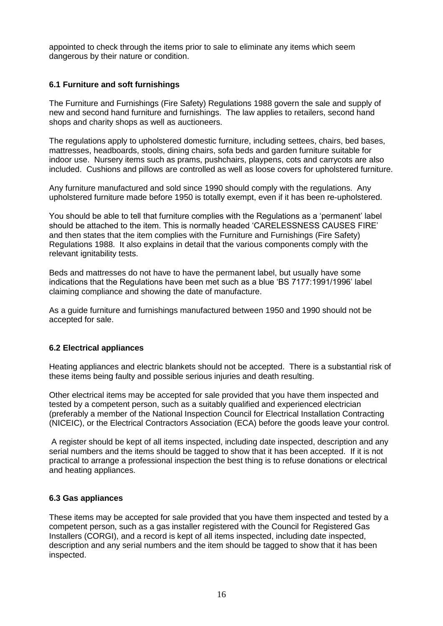appointed to check through the items prior to sale to eliminate any items which seem dangerous by their nature or condition.

#### **6.1 Furniture and soft furnishings**

The Furniture and Furnishings (Fire Safety) Regulations 1988 govern the sale and supply of new and second hand furniture and furnishings. The law applies to retailers, second hand shops and charity shops as well as auctioneers.

The regulations apply to upholstered domestic furniture, including settees, chairs, bed bases, mattresses, headboards, stools, dining chairs, sofa beds and garden furniture suitable for indoor use. Nursery items such as prams, pushchairs, playpens, cots and carrycots are also included. Cushions and pillows are controlled as well as loose covers for upholstered furniture.

Any furniture manufactured and sold since 1990 should comply with the regulations. Any upholstered furniture made before 1950 is totally exempt, even if it has been re-upholstered.

You should be able to tell that furniture complies with the Regulations as a 'permanent' label should be attached to the item. This is normally headed 'CARELESSNESS CAUSES FIRE' and then states that the item complies with the Furniture and Furnishings (Fire Safety) Regulations 1988. It also explains in detail that the various components comply with the relevant ignitability tests.

Beds and mattresses do not have to have the permanent label, but usually have some indications that the Regulations have been met such as a blue 'BS 7177:1991/1996' label claiming compliance and showing the date of manufacture.

As a guide furniture and furnishings manufactured between 1950 and 1990 should not be accepted for sale.

#### **6.2 Electrical appliances**

Heating appliances and electric blankets should not be accepted. There is a substantial risk of these items being faulty and possible serious injuries and death resulting.

Other electrical items may be accepted for sale provided that you have them inspected and tested by a competent person, such as a suitably qualified and experienced electrician (preferably a member of the National Inspection Council for Electrical Installation Contracting (NICEIC), or the Electrical Contractors Association (ECA) before the goods leave your control.

A register should be kept of all items inspected, including date inspected, description and any serial numbers and the items should be tagged to show that it has been accepted. If it is not practical to arrange a professional inspection the best thing is to refuse donations or electrical and heating appliances.

#### **6.3 Gas appliances**

These items may be accepted for sale provided that you have them inspected and tested by a competent person, such as a gas installer registered with the Council for Registered Gas Installers (CORGI), and a record is kept of all items inspected, including date inspected, description and any serial numbers and the item should be tagged to show that it has been inspected.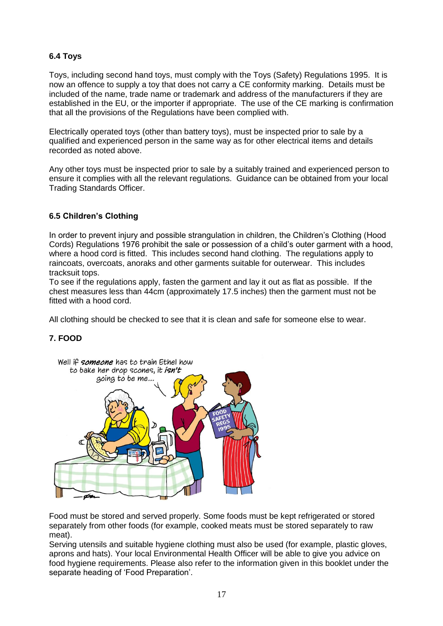# **6.4 Toys**

Toys, including second hand toys, must comply with the Toys (Safety) Regulations 1995. It is now an offence to supply a toy that does not carry a CE conformity marking. Details must be included of the name, trade name or trademark and address of the manufacturers if they are established in the EU, or the importer if appropriate. The use of the CE marking is confirmation that all the provisions of the Regulations have been complied with.

Electrically operated toys (other than battery toys), must be inspected prior to sale by a qualified and experienced person in the same way as for other electrical items and details recorded as noted above.

Any other toys must be inspected prior to sale by a suitably trained and experienced person to ensure it complies with all the relevant regulations. Guidance can be obtained from your local Trading Standards Officer.

# **6.5 Children's Clothing**

In order to prevent injury and possible strangulation in children, the Children's Clothing (Hood Cords) Regulations 1976 prohibit the sale or possession of a child's outer garment with a hood, where a hood cord is fitted. This includes second hand clothing. The regulations apply to raincoats, overcoats, anoraks and other garments suitable for outerwear. This includes tracksuit tops.

To see if the regulations apply, fasten the garment and lay it out as flat as possible. If the chest measures less than 44cm (approximately 17.5 inches) then the garment must not be fitted with a hood cord.

All clothing should be checked to see that it is clean and safe for someone else to wear.

# **7. FOOD**



Food must be stored and served properly. Some foods must be kept refrigerated or stored separately from other foods (for example, cooked meats must be stored separately to raw meat).

Serving utensils and suitable hygiene clothing must also be used (for example, plastic gloves, aprons and hats). Your local Environmental Health Officer will be able to give you advice on food hygiene requirements. Please also refer to the information given in this booklet under the separate heading of 'Food Preparation'.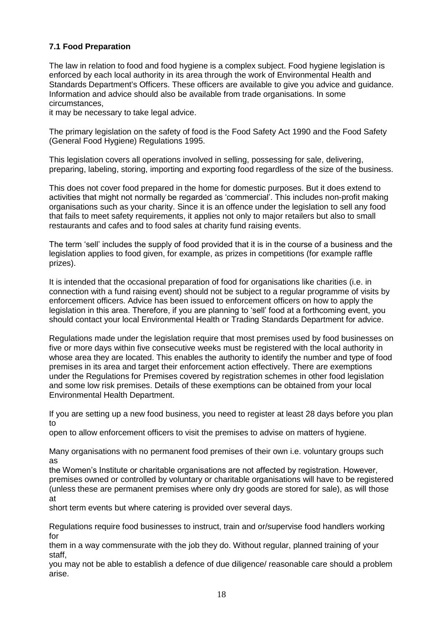# **7.1 Food Preparation**

The law in relation to food and food hygiene is a complex subject. Food hygiene legislation is enforced by each local authority in its area through the work of Environmental Health and Standards Department's Officers. These officers are available to give you advice and guidance. Information and advice should also be available from trade organisations. In some circumstances,

it may be necessary to take legal advice.

The primary legislation on the safety of food is the Food Safety Act 1990 and the Food Safety (General Food Hygiene) Regulations 1995.

This legislation covers all operations involved in selling, possessing for sale, delivering, preparing, labeling, storing, importing and exporting food regardless of the size of the business.

This does not cover food prepared in the home for domestic purposes. But it does extend to activities that might not normally be regarded as 'commercial'. This includes non-profit making organisations such as your charity. Since it is an offence under the legislation to sell any food that fails to meet safety requirements, it applies not only to major retailers but also to small restaurants and cafes and to food sales at charity fund raising events.

The term 'sell' includes the supply of food provided that it is in the course of a business and the legislation applies to food given, for example, as prizes in competitions (for example raffle prizes).

It is intended that the occasional preparation of food for organisations like charities (i.e. in connection with a fund raising event) should not be subject to a regular programme of visits by enforcement officers. Advice has been issued to enforcement officers on how to apply the legislation in this area. Therefore, if you are planning to 'sell' food at a forthcoming event, you should contact your local Environmental Health or Trading Standards Department for advice.

Regulations made under the legislation require that most premises used by food businesses on five or more days within five consecutive weeks must be registered with the local authority in whose area they are located. This enables the authority to identify the number and type of food premises in its area and target their enforcement action effectively. There are exemptions under the Regulations for Premises covered by registration schemes in other food legislation and some low risk premises. Details of these exemptions can be obtained from your local Environmental Health Department.

If you are setting up a new food business, you need to register at least 28 days before you plan to

open to allow enforcement officers to visit the premises to advise on matters of hygiene.

Many organisations with no permanent food premises of their own i.e. voluntary groups such as

the Women's Institute or charitable organisations are not affected by registration. However, premises owned or controlled by voluntary or charitable organisations will have to be registered (unless these are permanent premises where only dry goods are stored for sale), as will those at

short term events but where catering is provided over several days.

Regulations require food businesses to instruct, train and or/supervise food handlers working for

them in a way commensurate with the job they do. Without regular, planned training of your staff,

you may not be able to establish a defence of due diligence/ reasonable care should a problem arise.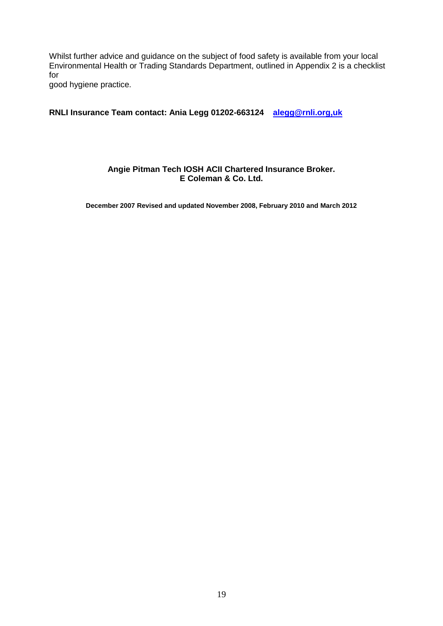Whilst further advice and guidance on the subject of food safety is available from your local Environmental Health or Trading Standards Department, outlined in Appendix 2 is a checklist for

good hygiene practice.

#### **RNLI Insurance Team contact: Ania Legg 01202-663124 [alegg@rnli.org,uk](mailto:alegg@rnli.org,uk)**

#### **Angie Pitman Tech IOSH ACII Chartered Insurance Broker. E Coleman & Co. Ltd.**

**December 2007 Revised and updated November 2008, February 2010 and March 2012**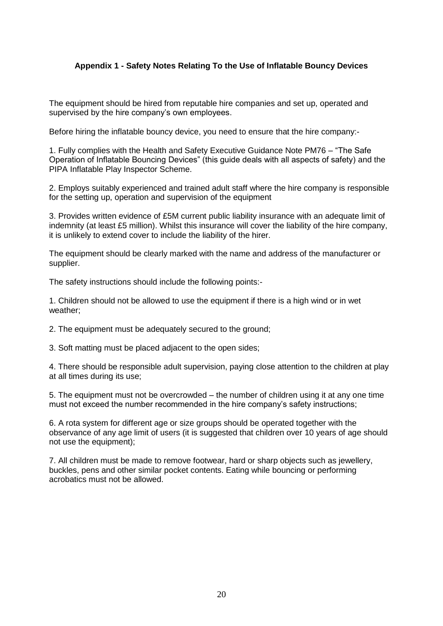#### **Appendix 1 - Safety Notes Relating To the Use of Inflatable Bouncy Devices**

The equipment should be hired from reputable hire companies and set up, operated and supervised by the hire company's own employees.

Before hiring the inflatable bouncy device, you need to ensure that the hire company:-

1. Fully complies with the Health and Safety Executive Guidance Note PM76 – "The Safe Operation of Inflatable Bouncing Devices" (this guide deals with all aspects of safety) and the PIPA Inflatable Play Inspector Scheme.

2. Employs suitably experienced and trained adult staff where the hire company is responsible for the setting up, operation and supervision of the equipment

3. Provides written evidence of £5M current public liability insurance with an adequate limit of indemnity (at least £5 million). Whilst this insurance will cover the liability of the hire company, it is unlikely to extend cover to include the liability of the hirer.

The equipment should be clearly marked with the name and address of the manufacturer or supplier.

The safety instructions should include the following points:-

1. Children should not be allowed to use the equipment if there is a high wind or in wet weather;

2. The equipment must be adequately secured to the ground;

3. Soft matting must be placed adjacent to the open sides;

4. There should be responsible adult supervision, paying close attention to the children at play at all times during its use;

5. The equipment must not be overcrowded – the number of children using it at any one time must not exceed the number recommended in the hire company's safety instructions;

6. A rota system for different age or size groups should be operated together with the observance of any age limit of users (it is suggested that children over 10 years of age should not use the equipment);

7. All children must be made to remove footwear, hard or sharp objects such as jewellery, buckles, pens and other similar pocket contents. Eating while bouncing or performing acrobatics must not be allowed.